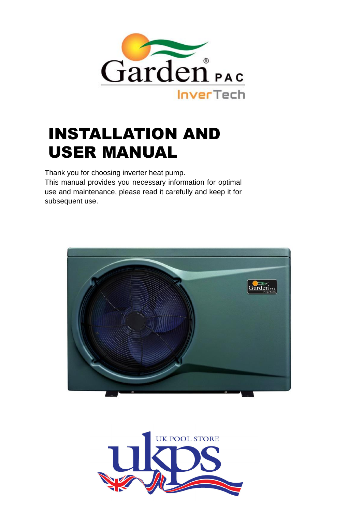

# INSTALLATION AND USER MANUAL

Thank you for choosing inverter heat pump. This manual provides you necessary information for optimal use and maintenance, please read it carefully and keep it for subsequent use.



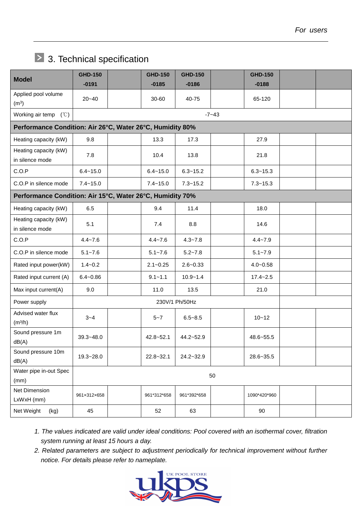## > 3. Technical specification

| <b>Model</b>                                              | <b>GHD-150</b><br>$-0191$ |  | <b>GHD-150</b><br>$-0185$ | <b>GHD-150</b><br>$-0186$ |  | <b>GHD-150</b><br>$-0188$ |  |  |  |  |
|-----------------------------------------------------------|---------------------------|--|---------------------------|---------------------------|--|---------------------------|--|--|--|--|
| Applied pool volume<br>(m <sup>3</sup> )                  | $20 - 40$                 |  | 30-60                     | 40-75                     |  | 65-120                    |  |  |  |  |
| Working air temp $(°C)$                                   |                           |  |                           |                           |  |                           |  |  |  |  |
| Performance Condition: Air 26°C, Water 26°C, Humidity 80% |                           |  |                           |                           |  |                           |  |  |  |  |
| Heating capacity (kW)                                     | 9.8                       |  | 13.3                      | 17.3                      |  | 27.9                      |  |  |  |  |
| Heating capacity (kW)<br>in silence mode                  | 7.8                       |  | 10.4                      | 13.8                      |  | 21.8                      |  |  |  |  |
| C.O.P                                                     | $6.4 - 15.0$              |  | $6.4 - 15.0$              | $6.3 - 15.2$              |  | $6.3 - 15.3$              |  |  |  |  |
| C.O.P in silence mode                                     | $7.4 - 15.0$              |  | $7.4 - 15.0$              | $7.3 - 15.2$              |  | $7.3 - 15.3$              |  |  |  |  |
| Performance Condition: Air 15°C, Water 26°C, Humidity 70% |                           |  |                           |                           |  |                           |  |  |  |  |
| Heating capacity (kW)                                     | 6.5                       |  | 9.4                       | 11.4                      |  | 18.0                      |  |  |  |  |
| Heating capacity (kW)<br>in silence mode                  | 5.1                       |  | 7.4                       | 8.8                       |  | 14.6                      |  |  |  |  |
| C.O.P                                                     | $4.4 - 7.6$               |  | $4.4 - 7.6$               | $4.3 - 7.8$               |  | $4.4 - 7.9$               |  |  |  |  |
| C.O.P in silence mode                                     | $5.1 - 7.6$               |  | $5.1 - 7.6$               | $5.2 - 7.8$               |  | $5.1 - 7.9$               |  |  |  |  |
| Rated input power(kW)                                     | $1.4 - 0.2$               |  | $2.1 - 0.25$              | $2.6 - 0.33$              |  | $4.0 - 0.58$              |  |  |  |  |
| Rated input current (A)                                   | $6.4 - 0.86$              |  | $9.1 - 1.1$               | $10.9 - 1.4$              |  | $17.4 - 2.5$              |  |  |  |  |
| Max input current(A)                                      | 9.0                       |  | 11.0                      | 13.5                      |  | 21.0                      |  |  |  |  |
| Power supply                                              | 230V/1 Ph/50Hz            |  |                           |                           |  |                           |  |  |  |  |
| Advised water flux<br>(m <sup>3</sup> /h)                 | $3 - 4$                   |  | $5 - 7$                   | $6.5 - 8.5$               |  | $10 - 12$                 |  |  |  |  |
| Sound pressure 1m<br>dB(A)                                | $39.3 - 48.0$             |  | $42.8 - 52.1$             | 44.2~52.9                 |  | 48.6~55.5                 |  |  |  |  |
| Sound pressure 10m<br>dB(A)                               | 19.3~28.0                 |  | $22.8 - 32.1$             | 24.2~32.9                 |  | 28.6~35.5                 |  |  |  |  |
| Water pipe in-out Spec<br>(mm)                            | 50                        |  |                           |                           |  |                           |  |  |  |  |
| Net Dimension<br>LxWxH (mm)                               | 961×312×658               |  | 961*312*658               | 961*392*658               |  | 1090*420*960              |  |  |  |  |
| Net Weight<br>(kg)                                        | 45                        |  | 52                        | 63                        |  | 90                        |  |  |  |  |

- *1. The values indicated are valid under ideal conditions: Pool covered with an isothermal cover, filtration system running at least 15 hours a day.*
- *2. Related parameters are subject to adjustment periodically for technical improvement without further notice. For details please refer to nameplate.*

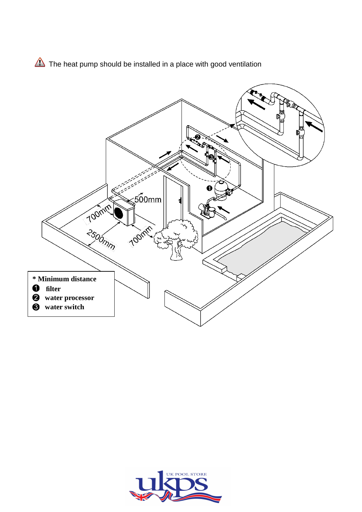The heat pump should be installed in a place with good ventilation



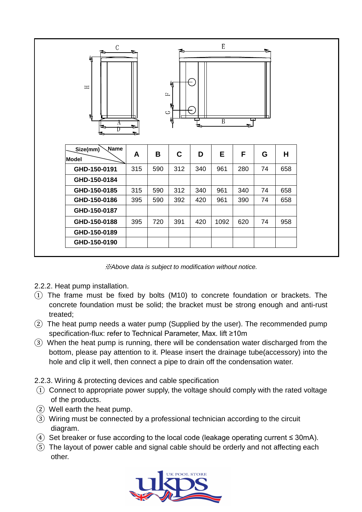| $\mathbf E$<br>$\mathbf C$<br>►<br>$\mathbf{A}$<br>М<br>$\equiv$<br>$\mathbb{L}$<br>w<br>$\circ$<br>W<br>m<br>Ш<br>$\overline{B}$<br>ᆓ<br>А<br>$\approx$<br>ь<br>≂<br>e<br>≂ |     |     |             |     |      |     |    |     |
|------------------------------------------------------------------------------------------------------------------------------------------------------------------------------|-----|-----|-------------|-----|------|-----|----|-----|
| Name<br>Size(mm)<br>Model                                                                                                                                                    | A   | B   | $\mathbf C$ | D   | E    | F   | G  | H   |
| GHD-150-0191                                                                                                                                                                 | 315 | 590 | 312         | 340 | 961  | 280 | 74 | 658 |
| GHD-150-0184                                                                                                                                                                 |     |     |             |     |      |     |    |     |
|                                                                                                                                                                              |     | 590 | 312         |     | 961  | 340 | 74 | 658 |
| GHD-150-0185                                                                                                                                                                 | 315 |     |             | 340 |      |     |    |     |
| GHD-150-0186                                                                                                                                                                 | 395 | 590 | 392         | 420 | 961  | 390 | 74 | 658 |
| GHD-150-0187                                                                                                                                                                 |     |     |             |     |      |     |    |     |
| GHD-150-0188                                                                                                                                                                 | 395 | 720 | 391         | 420 | 1092 | 620 | 74 | 958 |
| GHD-150-0189                                                                                                                                                                 |     |     |             |     |      |     |    |     |

※*Above data is subject to modification without notice.*

- 2.2.2. Heat pump installation.
- $\overline{1}$ ) The frame must be fixed by bolts (M10) to concrete foundation or brackets. The concrete foundation must be solid; the bracket must be strong enough and anti-rust treated;
- ② The heat pump needs a water pump (Supplied by the user). The recommended pump specification-flux: refer to Technical Parameter, Max. lift ≥10m
- ③ When the heat pump is running, there will be condensation water discharged from the bottom, please pay attention to it. Please insert the drainage tube(accessory) into the hole and clip it well, then connect a pipe to drain off the condensation water.

2.2.3. Wiring & protecting devices and cable specification

- $\Omega$  Connect to appropriate power supply, the voltage should comply with the rated voltage of the products.
- ② Well earth the heat pump.
- ③ Wiring must be connected by a professional technician according to the circuit diagram.
- $\overline{4}$  Set breaker or fuse according to the local code (leakage operating current  $\leq$  30mA).
- ⑤ The layout of power cable and signal cable should be orderly and not affecting each other.